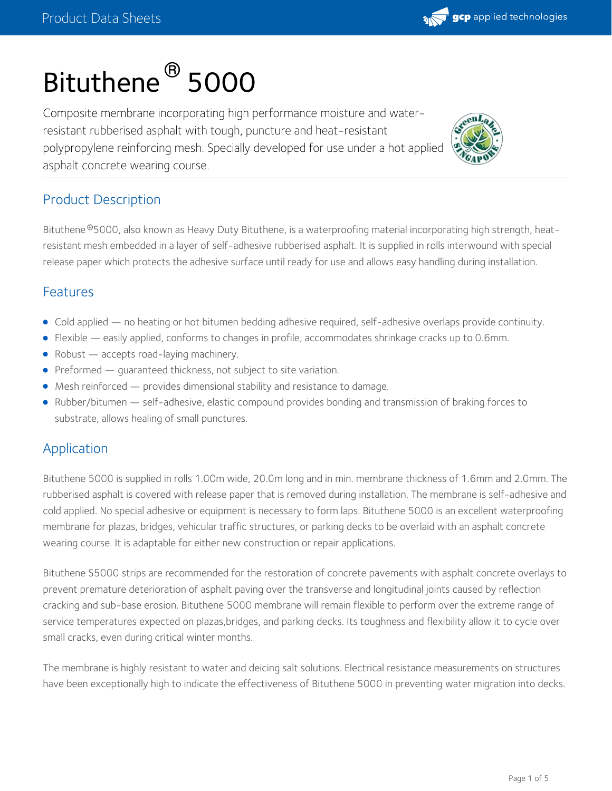# Bituthene ® 5000

Composite membrane incorporating high performance moisture and waterresistant rubberised asphalt with tough, puncture and heat-resistant polypropylene reinforcing mesh. Specially developed for use under a hot applied asphalt concrete wearing course.



gcp applied technologies

## Product Description

Bituthene ®5000, also known as Heavy Duty Bituthene, is a waterproofing material incorporating high strength, heatresistant mesh embedded in a layer of self-adhesive rubberised asphalt. It is supplied in rolls interwound with special release paper which protects the adhesive surface until ready for use and allows easy handling during installation.

#### Features

- Cold applied no heating or hot bitumen bedding adhesive required, self-adhesive overlaps provide continuity.
- Flexible easily applied, conforms to changes in profile, accommodates shrinkage cracks up to 0.6mm.
- Robust accepts road-laying machinery.
- $\bullet$  Preformed  $-$  quaranteed thickness, not subject to site variation.
- Mesh reinforced provides dimensional stability and resistance to damage.
- Rubber/bitumen self-adhesive, elastic compound provides bonding and transmission of braking forces to substrate, allows healing of small punctures.

#### **Application**

Bituthene 5000 is supplied in rolls 1.00m wide, 20.0m long and in min. membrane thickness of 1.6mm and 2.0mm. The rubberised asphalt is covered with release paper that is removed during installation. The membrane is self-adhesive and cold applied. No special adhesive or equipment is necessary to form laps. Bituthene 5000 is an excellent waterproofing membrane for plazas, bridges, vehicular traffic structures, or parking decks to be overlaid with an asphalt concrete wearing course. It is adaptable for either new construction or repair applications.

Bituthene S5000 strips are recommended for the restoration of concrete pavements with asphalt concrete overlays to prevent premature deterioration of asphalt paving over the transverse and longitudinal joints caused by reflection cracking and sub-base erosion. Bituthene 5000 membrane will remain flexible to perform over the extreme range of service temperatures expected on plazas,bridges, and parking decks. Its toughness and flexibility allow it to cycle over small cracks, even during critical winter months.

The membrane is highly resistant to water and deicing salt solutions. Electrical resistance measurements on structures have been exceptionally high to indicate the effectiveness of Bituthene 5000 in preventing water migration into decks.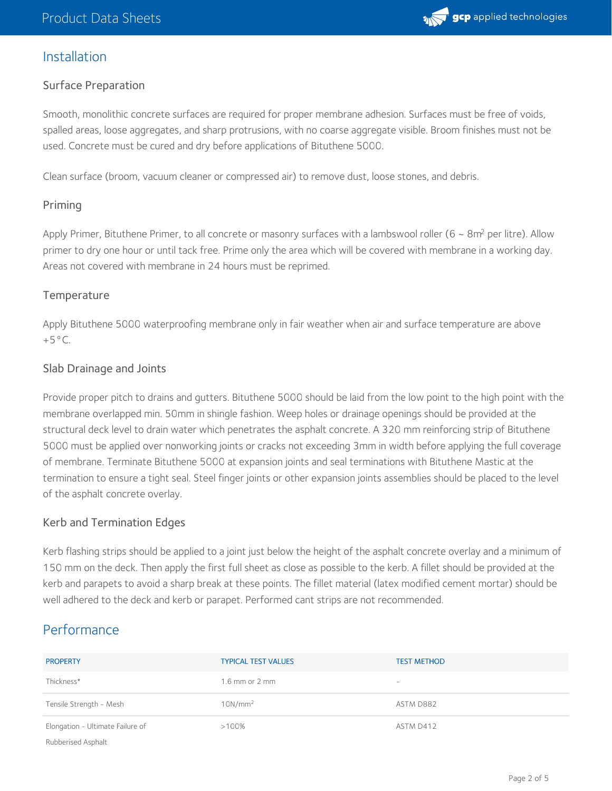

#### Installation

#### Surface Preparation

Smooth, monolithic concrete surfaces are required for proper membrane adhesion. Surfaces must be free of voids, spalled areas, loose aggregates, and sharp protrusions, with no coarse aggregate visible. Broom finishes must not be used. Concrete must be cured and dry before applications of Bituthene 5000.

Clean surface (broom, vacuum cleaner or compressed air) to remove dust, loose stones, and debris.

#### Priming

Apply Primer, Bituthene Primer, to all concrete or masonry surfaces with a lambswool roller (6 ~ 8m<sup>2</sup> per litre). Allow primer to dry one hour or until tack free. Prime only the area which will be covered with membrane in a working day. Areas not covered with membrane in 24 hours must be reprimed.

#### **Temperature**

Apply Bituthene 5000 waterproofing membrane only in fair weather when air and surface temperature are above  $+5^{\circ}$ C.

#### Slab Drainage and Joints

Provide proper pitch to drains and gutters. Bituthene 5000 should be laid from the low point to the high point with the membrane overlapped min. 50mm in shingle fashion. Weep holes or drainage openings should be provided at the structural deck level to drain water which penetrates the asphalt concrete. A 320 mm reinforcing strip of Bituthene 5000 must be applied over nonworking joints or cracks not exceeding 3mm in width before applying the full coverage of membrane. Terminate Bituthene 5000 at expansion joints and seal terminations with Bituthene Mastic at the termination to ensure a tight seal. Steel finger joints or other expansion joints assemblies should be placed to the level of the asphalt concrete overlay.

#### Kerb and Termination Edges

Kerb flashing strips should be applied to a joint just below the height of the asphalt concrete overlay and a minimum of 150 mm on the deck. Then apply the first full sheet as close as possible to the kerb. A fillet should be provided at the kerb and parapets to avoid a sharp break at these points. The fillet material (latex modified cement mortar) should be well adhered to the deck and kerb or parapet. Performed cant strips are not recommended.

## **Performance**

| <b>PROPERTY</b>                  | <b>TYPICAL TEST VALUES</b> | <b>TEST METHOD</b>                |
|----------------------------------|----------------------------|-----------------------------------|
| Thickness*                       | $1.6$ mm or $2$ mm         | $\hspace{1.0cm} - \hspace{1.0cm}$ |
| Tensile Strength - Mesh          | 10N/mm <sup>2</sup>        | ASTM D882                         |
| Elongation - Ultimate Failure of | $>100\%$                   | ASTM D412                         |
| Rubberised Asphalt               |                            |                                   |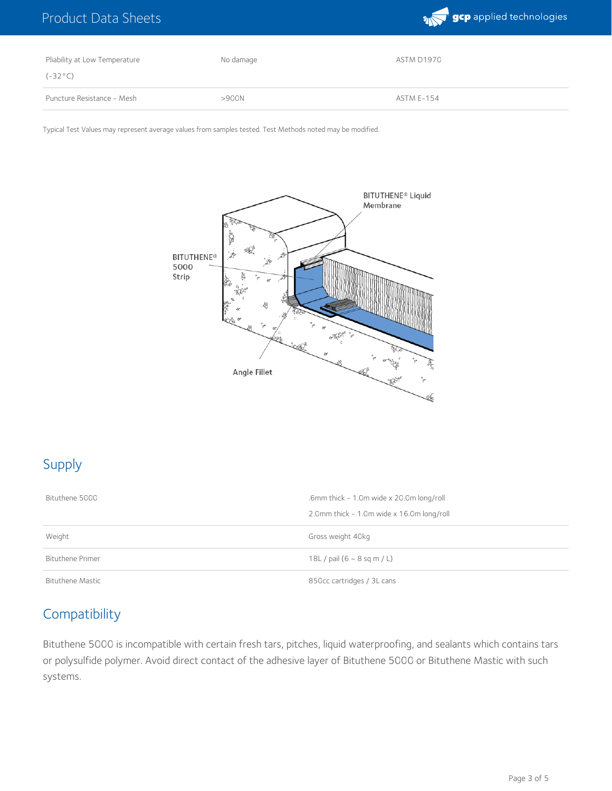

| Pliability at Low Temperature | No damage | ASTM D1970        |
|-------------------------------|-----------|-------------------|
| $(-32^{\circ}C)$              |           |                   |
| Puncture Resistance - Mesh    | >900N     | <b>ASTM E-154</b> |

Typical Test Values may represent average values from samples tested. Test Methods noted may be modified.



# Supply

| Bituthene 5000          | .6mm thick - 1.0m wide x 20.0m long/roll  |  |
|-------------------------|-------------------------------------------|--|
|                         | 2.0mm thick - 1.0m wide x 16.0m long/roll |  |
| Weight                  | Gross weight 40kg                         |  |
| <b>Bituthene Primer</b> | 18L / pail $(6 - 8$ sq m / L)             |  |
| Bituthene Mastic        | 850cc cartridges / 3L cans                |  |

## **Compatibility**

Bituthene 5000 is incompatible with certain fresh tars, pitches, liquid waterproofing, and sealants which contains tars or polysulfide polymer. Avoid direct contact of the adhesive layer of Bituthene 5000 or Bituthene Mastic with such systems.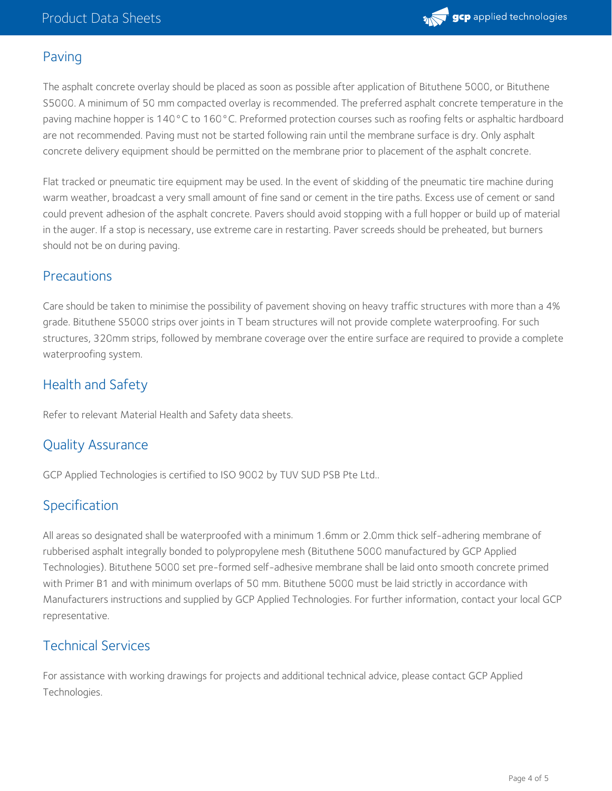

## Paving

The asphalt concrete overlay should be placed as soon as possible after application of Bituthene 5000, or Bituthene S5000. A minimum of 50 mm compacted overlay is recommended. The preferred asphalt concrete temperature in the paving machine hopper is 140°C to 160°C. Preformed protection courses such as roofing felts or asphaltic hardboard are not recommended. Paving must not be started following rain until the membrane surface is dry. Only asphalt concrete delivery equipment should be permitted on the membrane prior to placement of the asphalt concrete.

Flat tracked or pneumatic tire equipment may be used. In the event of skidding of the pneumatic tire machine during warm weather, broadcast a very small amount of fine sand or cement in the tire paths. Excess use of cement or sand could prevent adhesion of the asphalt concrete. Pavers should avoid stopping with a full hopper or build up of material in the auger. If a stop is necessary, use extreme care in restarting. Paver screeds should be preheated, but burners should not be on during paving.

#### **Precautions**

Care should be taken to minimise the possibility of pavement shoving on heavy traffic structures with more than a 4% grade. Bituthene S5000 strips over joints in T beam structures will not provide complete waterproofing. For such structures, 320mm strips, followed by membrane coverage over the entire surface are required to provide a complete waterproofing system.

## Health and Safety

Refer to relevant Material Health and Safety data sheets.

## Quality Assurance

GCP Applied Technologies is certified to ISO 9002 by TUV SUD PSB Pte Ltd..

## Specification

All areas so designated shall be waterproofed with a minimum 1.6mm or 2.0mm thick self-adhering membrane of rubberised asphalt integrally bonded to polypropylene mesh (Bituthene 5000 manufactured by GCP Applied Technologies). Bituthene 5000 set pre-formed self-adhesive membrane shall be laid onto smooth concrete primed with Primer B1 and with minimum overlaps of 50 mm. Bituthene 5000 must be laid strictly in accordance with Manufacturers instructions and supplied by GCP Applied Technologies. For further information, contact your local GCP representative.

## Technical Services

For assistance with working drawings for projects and additional technical advice, please contact GCP Applied Technologies.